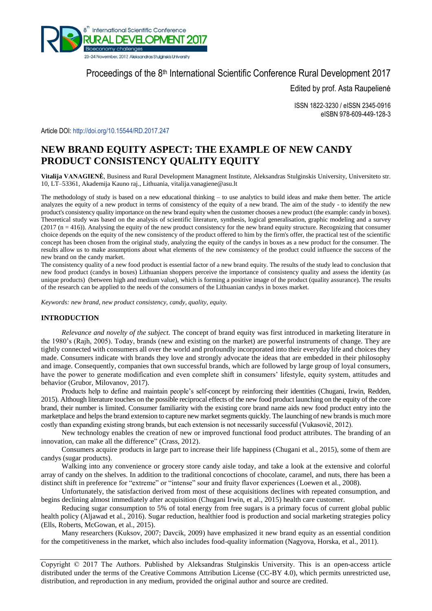

# Proceedings of the 8<sup>th</sup> International Scientific Conference Rural Development 2017

Edited by prof. Asta Raupelienė

ISSN 1822-3230 / eISSN 2345-0916 eISBN 978-609-449-128-3

Article DOI: <http://doi.org/10.15544/RD.2017.247>

# **NEW BRAND EQUITY ASPECT: THE EXAMPLE OF NEW CANDY PRODUCT CONSISTENCY QUALITY EQUITY**

**Vitalija VANAGIENĖ**, Business and Rural Development Managment Institute, Aleksandras Stulginskis University, Universiteto str. 10, LT–53361, Akademija Kauno raj., Lithuania, [vitalija.vanagiene@asu.lt](mailto:vitalija.vanagiene@asu.lt)

The methodology of study is based on a new educational thinking – to use analytics to build ideas and make them better. The article analyzes the equity of a new product in terms of consistency of the equity of a new brand. The aim of the study - to identify the new product's consistency quality importance on the new brand equity when the customer chooses a new product (the example: candy in boxes). Theoretical study was based on the analysis of scientific literature, synthesis, logical generalisation, graphic modeling and a survey  $(2017 \text{ (n} = 416))$ . Analysing the equity of the new product consistency for the new brand equity structure. Recognizing that consumer choice depends on the equity of the new consistency of the product offered to him by the firm's offer, the practical test of the scientific concept has been chosen from the original study, analyzing the equity of the candys in boxes as a new product for the consumer. The results allow us to make assumptions about what elements of the new consistency of the product could influence the success of the new brand on the candy market.

The consistency quality of a new food product is essential factor of a new brand equity. The results of the study lead to conclusion that new food product (candys in boxes) Lithuanian shoppers perceive the importance of consistency quality and assess the identity (as unique products) (between high and medium value), which is forming a positive image of the product (quality assurance). The results of the research can be applied to the needs of the consumers of the Lithuanian candys in boxes market.

*Keywords: new brand, new product consistency, candy, quality, equity.*

## **INTRODUCTION**

*Relevance and novelty of the subject.* The concept of brand equity was first introduced in marketing literature in the 1980's (Rajh, 2005). Today, brands (new and existing on the market) are powerful instruments of change. They are tightly connected with consumers all over the world and profoundly incorporated into their everyday life and choices they made. Consumers indicate with brands they love and strongly advocate the ideas that are embedded in their philosophy and image. Consequently, companies that own successful brands, which are followed by large group of loyal consumers, have the power to generate modification and even complete shift in consumers' lifestyle, equity system, attitudes and behavior (Grubor, Milovanov, 2017).

Products help to define and maintain people's self-concept by reinforcing their identities (Chugani, Irwin, Redden, 2015). Although literature touches on the possible reciprocal effects of the new food product launching on the equity of the core brand, their number is limited. Consumer familiarity with the existing core brand name aids new food product entry into the marketplace and helps the brand extension to capture new market segments quickly. The launching of new brands is much more costly than expanding existing strong brands, but each extension is not necessarily successful (Vukasovič, 2012).

New technology enables the creation of new or improved functional food product attributes. The branding of an innovation, can make all the difference" (Crass, 2012).

Consumers acquire products in large part to increase their life happiness (Chugani et al., 2015), some of them are candys (sugar products).

Walking into any convenience or grocery store candy aisle today, and take a look at the extensive and colorful array of candy on the shelves. In addition to the traditional concoctions of chocolate, caramel, and nuts, there has been a distinct shift in preference for "extreme" or "intense" sour and fruity flavor experiences (Loewen et al., 2008).

Unfortunately, the satisfaction derived from most of these acquisitions declines with repeated consumption, and begins declining almost immediately after acquisition (Chugani Irwin, et al., 2015) health care customer.

Reducing sugar consumption to 5% of total energy from free sugars is a primary focus of current global public health policy (Aljawad et al., 2016). Sugar reduction, healthier food is production and social marketing strategies policy (Ells, Roberts, McGowan, et al., 2015).

Many researchers (Kuksov, 2007; Davcik, 2009) have emphasized it new brand equity as an essential condition for the competitiveness in the market, which also includes food-quality information (Nagyova, Horska, et al., 2011).

Copyright © 2017 The Authors. Published by Aleksandras Stulginskis University. This is an open-access article distributed under the terms of the Creative Commons Attribution License (CC-BY 4.0), which permits unrestricted use, distribution, and reproduction in any medium, provided the original author and source are credited.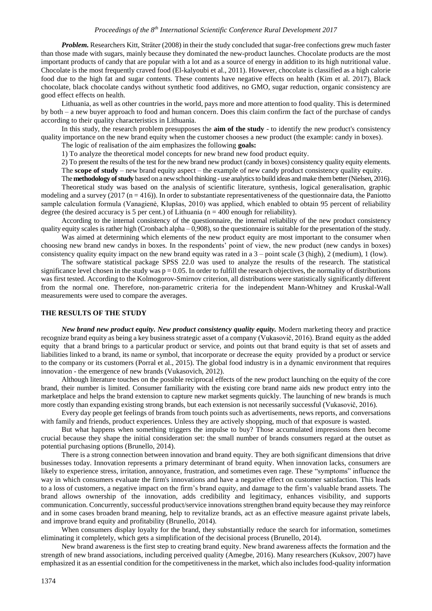*Problem.* Researchers Kitt, Sträter (2008) in their the study concluded that sugar-free confections grew much faster than those made with sugars, mainly because they dominated the new-product launches. Chocolate products are the most important products of candy that are popular with a lot and as a source of energy in addition to its high nutritional value. Chocolate is the most frequently craved food [\(El-kalyoubi](https://www.sciencedirect.com/science/article/pii/S0570178311000212#!) et al., 2011). However, chocolate is classified as a high calorie food due to the high fat and sugar contents. These contents have negative effects on health [\(Kim e](https://www.sciencedirect.com/science/article/pii/S235261811730015X#!)t al. 2017), Black chocolate, black chocolate candys without synthetic food additives, no GMO, sugar reduction, organic consistency are good effect effects on health.

Lithuania, as well as other countries in the world, pays more and more attention to food quality. This is determined by both – a new buyer approach to food and human concern. Does this claim confirm the fact of the purchase of candys according to their quality characteristics in Lithuania.

In this study, the research problem presupposes the **aim of the study** - to identify the new product's consistency quality importance on the new brand equity when the customer chooses a new product (the example: candy in boxes).

The logic of realisation of the aim emphasizes the following **goals:**

1) To analyze the theoretical model concepts for new brand new food product equity.

2) To present the results of the test for the new brand new product (candy in boxes) consistency quality equity elements. The **scope of study** – new brand equity aspect – the example of new candy product consistency quality equity.

The **methodology of study** based on a newschool thinking **-** use analytics to build ideas and make them better (Nielsen, 2016).

Theoretical study was based on the analysis of scientific literature, synthesis, logical generalisation, graphic modeling and a survey (2017 ( $n = 416$ )). In order to substantiate representativeness of the questionnaire data, the Paniotto sample calculation formula (Vanagienė, Klupšas, 2010) was applied, which enabled to obtain 95 percent of reliability degree (the desired accuracy is 5 per cent.) of Lithuania ( $n = 400$  enough for reliability).

According to the internal consistency of the questionnaire, the internal reliability of the new product consistency quality equity scales is rather high (Cronbach alpha – 0,908), so the questionnaire is suitable for the presentation of the study.

Was aimed at determining which elements of the new product equity are most important to the consumer when choosing new brand new candys in boxes. In the respondents' point of view, the new product (new candys in boxes) consistency quality equity impact on the new brand equity was rated in a  $3$  – point scale (3 (high), 2 (medium), 1 (low).

The software statistical package SPSS 22.0 was used to analyze the results of the research. The statistical significance level chosen in the study was  $p = 0.05$ . In order to fulfill the research objectives, the normality of distributions was first tested. According to the Kolmogorov-Smirnov criterion, all distributions were statistically significantly different from the normal one. Therefore, non-parametric criteria for the independent Mann-Whitney and Kruskal-Wall measurements were used to compare the averages.

## **THE RESULTS OF THE STUDY**

*New brand new product equity. New product consistency quality equity.* Modern marketing theory and practice recognize brand equity as being a key business strategic asset of a company (Vukasovič, 2016). Brand equity as the added equity that a brand brings to a particular product or service, and points out that brand equity is that set of assets and liabilities linked to a brand, its name or symbol, that incorporate or decrease the equity provided by a product or service to the company or its customers (Porral et al., 2015). The global food industry is in a dynamic environment that requires innovation - the emergence of new brands (Vukasovich, 2012).

Although literature touches on the possible reciprocal effects of the new product launching on the equity of the core brand, their number is limited. Consumer familiarity with the existing core brand name aids new product entry into the marketplace and helps the brand extension to capture new market segments quickly. The launching of new brands is much more costly than expanding existing strong brands, but each extension is not necessarily successful (Vukasovič, 2016).

Every day people get feelings of brands from touch points such as advertisements, news reports, and conversations with family and friends, product experiences. Unless they are actively shopping, much of that exposure is wasted.

But what happens when something triggers the impulse to buy? Those accumulated impressions then become crucial because they shape the initial consideration set: the small number of brands consumers regard at the outset as potential purchasing options (Brunello, 2014).

There is a strong connection between innovation and brand equity. They are both significant dimensions that drive businesses today. Innovation represents a primary determinant of brand equity. When innovation lacks, consumers are likely to experience stress, irritation, annoyance, frustration, and sometimes even rage. These "symptoms" influence the way in which consumers evaluate the firm's innovations and have a negative effect on customer satisfaction. This leads to a loss of customers, a negative impact on the firm's brand equity, and damage to the firm's valuable brand assets. The brand allows ownership of the innovation, adds credibility and legitimacy, enhances visibility, and supports communication. Concurrently, successful product/service innovations strengthen brand equity because they may reinforce and in some cases broaden brand meaning, help to revitalize brands, act as an effective measure against private labels, and improve brand equity and profitability (Brunello, 2014).

When consumers display loyalty for the brand, they substantially reduce the search for information, sometimes eliminating it completely, which gets a simplification of the decisional process (Brunello, 2014).

New brand awareness is the first step to creating brand equity. New brand awareness affects the formation and the strength of new brand associations, including perceived quality (Amegbe, 2016). Many researchers (Kuksov, 2007) have emphasized it as an essential condition for the competitiveness in the market, which also includes food-quality information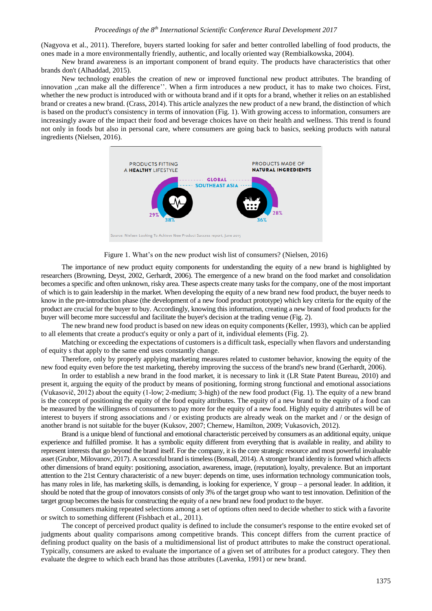(Nagyova et al., 2011). Therefore, buyers started looking for safer and better controlled labelling of food products, the ones made in a more environmentally friendly, authentic, and locally oriented way (Rembialkowska, 2004).

New brand awareness is an important component of brand equity. The products have characteristics that other brands don't (Alhaddad, 2015).

New technology enables the creation of new or improved functional new product attributes. The branding of innovation ,,can make all the difference''. When a firm introduces a new product, it has to make two choices. First, whether the new product is introduced with or withouta brand and if it opts for a brand, whether it relies on an established brand or creates a new brand. (Crass, 2014). This article analyzes the new product of a new brand, the distinction of which is based on the product's consistency in terms of innovation (Fig. 1). With growing access to information, consumers are increasingly aware of the impact their food and beverage choices have on their health and wellness. This trend is found not only in foods but also in personal care, where consumers are going back to basics, seeking products with natural ingredients (Nielsen, 2016).



Figure 1. What's on the new product wish list of consumers? (Nielsen, 2016)

The importance of new product equity components for understanding the equity of a new brand is highlighted by researchers (Browning, Deyst, 2002, Gerhardt, 2006). The emergence of a new brand on the food market and consolidation becomes a specific and often unknown, risky area. These aspects create many tasks for the company, one of the most important of which is to gain leadership in the market. When developing the equity of a new brand new food product, the buyer needs to know in the pre-introduction phase (the development of a new food product prototype) which key criteria for the equity of the product are crucial for the buyer to buy. Accordingly, knowing this information, creating a new brand of food products for the buyer will become more successful and facilitate the buyer's decision at the trading venue (Fig. 2).

The new brand new food product is based on new ideas on equity components (Keller, 1993), which can be applied to all elements that create a product's equity or only a part of it, individual elements (Fig. 2).

Matching or exceeding the expectations of customers is a difficult task, especially when flavors and understanding of equity s that apply to the same end uses constantly change.

Therefore, only by properly applying marketing measures related to customer behavior, knowing the equity of the new food equity even before the test marketing, thereby improving the success of the brand's new brand (Gerhardt, 2006).

In order to establish a new brand in the food market, it is necessary to link it (LR State Patent Bureau, 2010) and present it, arguing the equity of the product by means of positioning, forming strong functional and emotional associations (Vukasovič, 2012) about the equity (1-low; 2-medium; 3-high) of the new food product (Fig. 1). The equity of a new brand is the concept of positioning the equity of the food equity attributes. The equity of a new brand to the equity of a food can be measured by the willingness of consumers to pay more for the equity of a new food. Highly equity d attributes will be of interest to buyers if strong associations and / or existing products are already weak on the market and / or the design of another brand is not suitable for the buyer (Kuksov, 2007; Chernew, Hamilton, 2009; Vukasovich, 2012).

Brand is a unique blend of functional and emotional characteristic perceived by consumers as an additional equity, unique experience and fulfilled promise. It has a symbolic equity different from everything that is available in reality, and ability to represent interests that go beyond the brand itself. For the company, it is the core strategic resource and most powerful invaluable asset (Grubor, Milovanov, 2017). A successful brand is timeless (Bonsall, 2014). A stronger brand identity is formed which affects other dimensions of brand equity: positioning, association, awareness, image, (reputation), loyalty, prevalence. But an important attention to the 21st Century characteristic of a new buyer: depends on time, uses information technology communication tools, has many roles in life, has marketing skills, is demanding, is looking for experience, Y group – a personal leader. In addition, it should be noted that the group of innovators consists of only 3% of the target group who want to test innovation. Definition of the target group becomes the basis for constructing the equity of a new brand new food product to the buyer.

Consumers making repeated selections among a set of options often need to decide whether to stick with a favorite or switch to something different (Fishbach et al., 2011).

The concept of perceived product quality is defined to include the consumer's response to the entire evoked set of judgments about quality comparisons among competitive brands. This concept differs from the current practice of defining product quality on the basis of a multidimensional list of product attributes to make the construct operational. Typically, consumers are asked to evaluate the importance of a given set of attributes for a product category. They then evaluate the degree to which each brand has those attributes (Lavenka, 1991) or new brand.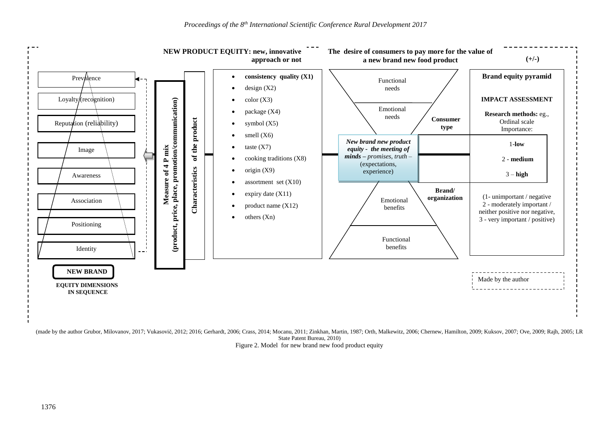

(made by the author Grubor, Milovanov, 2017; Vukasovič, 2012; 2016; Gerhardt, 2006; Crass, 2014; Mocanu, 2011; Zinkhan, Martin, 1987; Orth, Malkewitz, 2006; Chernew, Hamilton, 2009; Kuksov, 2007; Ove, 2009; Rajh, 2005; LR State Patent Bureau, 2010) Figure 2. Model for new brand new food product equity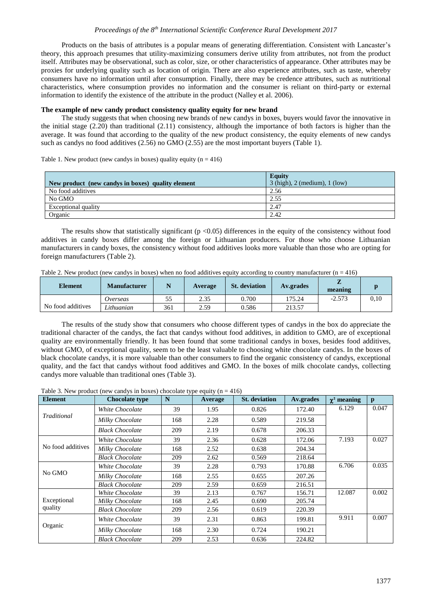## *Proceedings of the 8th International Scientific Conference Rural Development 2017*

Products on the basis of attributes is a popular means of generating differentiation. Consistent with Lancaster's theory, this approach presumes that utility-maximizing consumers derive utility from attributes, not from the product itself. Attributes may be observational, such as color, size, or other characteristics of appearance. Other attributes may be proxies for underlying quality such as location of origin. There are also experience attributes, such as taste, whereby consumers have no information until after consumption. Finally, there may be credence attributes, such as nutritional characteristics, where consumption provides no information and the consumer is reliant on third-party or external information to identify the existence of the attribute in the product (Nalley et al. 2006).

## **The example of new candy product consistency quality equity for new brand**

The study suggests that when choosing new brands of new candys in boxes, buyers would favor the innovative in the initial stage (2.20) than traditional (2.11) consistency, although the importance of both factors is higher than the average. It was found that according to the quality of the new product consistency, the equity elements of new candys such as candys no food additives (2.56) no GMO (2.55) are the most important buyers (Table 1).

|                                                   | <b>Equity</b>                       |
|---------------------------------------------------|-------------------------------------|
| New product (new candys in boxes) quality element | $3$ (high), $2$ (medium), $1$ (low) |
| No food additives                                 | 2.56                                |
| No GMO                                            | 2.55                                |
| Exceptional quality                               | 2.47                                |
| Organic                                           | 2.42                                |

Table 1. New product (new candys in boxes) quality equity  $(n = 416)$ 

The results show that statistically significant  $(p < 0.05)$  differences in the equity of the consistency without food additives in candy boxes differ among the foreign or Lithuanian producers. For those who choose Lithuanian manufacturers in candy boxes, the consistency without food additives looks more valuable than those who are opting for foreign manufacturers (Table 2).

|  |  |  | Table 2. New product (new candys in boxes) when no food additives equity according to country manufacturer ( $n = 416$ ) |
|--|--|--|--------------------------------------------------------------------------------------------------------------------------|
|  |  |  |                                                                                                                          |

| <b>Element</b>    | <b>Manufacturer</b> |     | <b>Average</b> | <b>St.</b> deviation | Av.grades | meaning  |      |
|-------------------|---------------------|-----|----------------|----------------------|-----------|----------|------|
|                   | Overseas            | ر ر | 2.35           | 0.700                | 175.24    | $-2.573$ | 0.10 |
| No food additives | Lithuanian          | 361 | 2.59           | 0.586                | 213.57    |          |      |

The results of the study show that consumers who choose different types of candys in the box do appreciate the traditional character of the candys, the fact that candys without food additives, in addition to GMO, are of exceptional quality are environmentally friendly. It has been found that some traditional candys in boxes, besides food additives, without GMO, of exceptional quality, seem to be the least valuable to choosing white chocolate candys. In the boxes of black chocolate candys, it is more valuable than other consumers to find the organic consistency of candys, exceptional quality, and the fact that candys without food additives and GMO. In the boxes of milk chocolate candys, collecting candys more valuable than traditional ones (Table 3).

Table 3. New product (new candys in boxes) chocolate type equity ( $n = 416$ )

| <b>Element</b>         | <b>Chocolate type</b>  | N   | Average | <b>St.</b> deviation | Av.grades | $\chi^2$ meaning | p     |
|------------------------|------------------------|-----|---------|----------------------|-----------|------------------|-------|
| Traditional            | White Chocolate        | 39  | 1.95    | 0.826                | 172.40    | 6.129            | 0.047 |
|                        | Milky Chocolate        | 168 | 2.28    | 0.589                | 219.58    |                  |       |
|                        | <b>Black Chocolate</b> | 209 | 2.19    | 0.678                | 206.33    |                  |       |
| No food additives      | White Chocolate        | 39  | 2.36    | 0.628                | 172.06    | 7.193            | 0.027 |
|                        | Milky Chocolate        | 168 | 2.52    | 0.638                | 204.34    |                  |       |
|                        | <b>Black Chocolate</b> | 209 | 2.62    | 0.569                | 218.64    |                  |       |
| No GMO                 | White Chocolate        | 39  | 2.28    | 0.793                | 170.88    | 6.706            | 0.035 |
|                        | Milky Chocolate        | 168 | 2.55    | 0.655                | 207.26    |                  |       |
|                        | <b>Black Chocolate</b> | 209 | 2.59    | 0.659                | 216.51    |                  |       |
| Exceptional<br>quality | White Chocolate        | 39  | 2.13    | 0.767                | 156.71    | 12.087           | 0.002 |
|                        | Milky Chocolate        | 168 | 2.45    | 0.690                | 205.74    |                  |       |
|                        | <b>Black Chocolate</b> | 209 | 2.56    | 0.619                | 220.39    |                  |       |
| Organic                | White Chocolate        | 39  | 2.31    | 0.863                | 199.81    | 9.911            | 0.007 |
|                        | Milky Chocolate        | 168 | 2.30    | 0.724                | 190.21    |                  |       |
|                        | <b>Black Chocolate</b> | 209 | 2.53    | 0.636                | 224.82    |                  |       |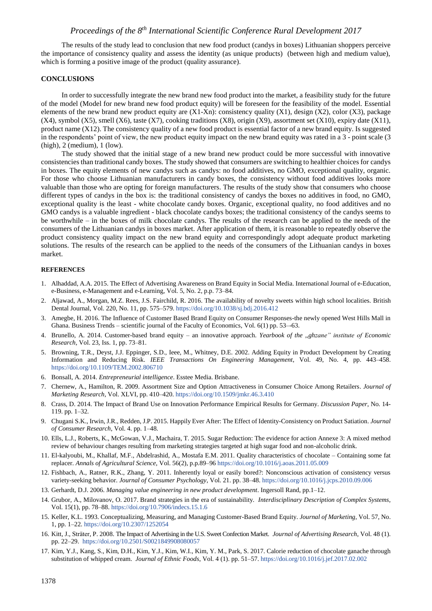## *Proceedings of the 8th International Scientific Conference Rural Development 2017*

The results of the study lead to conclusion that new food product (candys in boxes) Lithuanian shoppers perceive the importance of consistency quality and assess the identity (as unique products) (between high and medium value), which is forming a positive image of the product (quality assurance).

## **CONCLUSIONS**

In order to successfully integrate the new brand new food product into the market, a feasibility study for the future of the model (Model for new brand new food product equity) will be foreseen for the feasibility of the model. Essential elements of the new brand new product equity are  $(X1-Xn)$ : consistency quality  $(X1)$ , design  $(X2)$ , color  $(X3)$ , package  $(X4)$ , symbol  $(X5)$ , smell  $(X6)$ , taste  $(X7)$ , cooking traditions  $(X8)$ , origin  $(X9)$ , assortment set  $(X10)$ , expiry date  $(X11)$ , product name  $(X12)$ . The consistency quality of a new food product is essential factor of a new brand equity. Is suggested in the respondents' point of view, the new product equity impact on the new brand equity was rated in a 3 - point scale (3 (high), 2 (medium), 1 (low).

The study showed that the initial stage of a new brand new product could be more successful with innovative consistencies than traditional candy boxes. The study showed that consumers are switching to healthier choices for candys in boxes. The equity elements of new candys such as candys: no food additives, no GMO, exceptional quality, organic. For those who choose Lithuanian manufacturers in candy boxes, the consistency without food additives looks more valuable than those who are opting for foreign manufacturers. The results of the study show that consumers who choose different types of candys in the box is: the traditional consistency of candys the boxes no additives in food, no GMO, exceptional quality is the least - white chocolate candy boxes. Organic, exceptional quality, no food additives and no GMO candys is a valuable ingredient - black chocolate candys boxes; the traditional consistency of the candys seems to be worthwhile – in the boxes of milk chocolate candys. The results of the research can be applied to the needs of the consumers of the Lithuanian candys in boxes market. After application of them, it is reasonable to repeatedly observe the product consistency quality impact on the new brand equity and correspondingly adopt adequate product marketing solutions. The results of the research can be applied to the needs of the consumers of the Lithuanian candys in boxes market.

#### **REFERENCES**

- 1. Alhaddad, A.A. 2015. The Effect of Advertising Awareness on Brand Equity in Social Media. International Journal of e-Education, e-Business, e-Management and e-Learning, Vol. 5, No. 2, p.p. 73–84.
- 2. Aljawad, A., Morgan, M.Z. Rees, J.S. Fairchild, R. 2016. The availability of novelty sweets within high school localities. British Dental Journal, Vol. 220, No. 11, pp. 575–579. <https://doi.org/10.1038/sj.bdj.2016.412>
- 3. Amegbe, H. 2016. The Influence of Customer Based Brand Equity on Consumer Responses-the newly opened West Hills Mall in Ghana. Business Trends – scientific journal of the Faculty of Economics, Vol. 6(1) pp. 53–-63.
- 4. Brunello, A. 2014. Customer-based brand equity an innovative approach. *Yearbook of the ,,ghzane" institute of Economic Research*, Vol. 23, Iss. 1, pp. 73–81.
- 5. Browning, T.R., Deyst, J.J. Eppinger, S.D., Ieee, M., Whitney, D.E. 2002. Adding Equity in Product Development by Creating Information and Reducing Risk. *IEEE Transactions On Engineering Management*, Vol. 49, No. 4, pp. 443–458. <https://doi.org/10.1109/TEM.2002.806710>
- 6. Bonsall, A. 2014. *Entrepreneurial intelligence*. Esstee Media. Brisbane.
- 7. Chernew, A., Hamilton, R. 2009. Assortment Size and Option Attractiveness in Consumer Choice Among Retailers. *Journal of Marketing Research*, Vol. XLVI, pp. 410–420.<https://doi.org/10.1509/jmkr.46.3.410>
- 8. Crass, D. 2014. The Impact of Brand Use on Innovation Performance Empirical Results for Germany. *Discussion Paper*, No. 14- 119. pp. 1–32.
- 9. Chugani S.K., Irwin, J.R., Redden, J.P. 2015. Happily Ever After: The Effect of Identity-Consistency on Product Satiation. *Journal of Consumer Research*, Vol. 4. pp. 1–48.
- 10. Ells, L.J., Roberts, K., McGowan, V.J., Machaira, T. 2015. Sugar Reduction: The evidence for action Annexe 3: A mixed method review of behaviour changes resulting from marketing strategies targeted at high sugar food and non-alcoholic drink.
- 11. [El-kalyoubi,](https://www.sciencedirect.com/science/article/pii/S0570178311000212#!) M., [Khallaf,](https://www.sciencedirect.com/science/article/pii/S0570178311000212#!) M.F., [Abdelrashid,](https://www.sciencedirect.com/science/article/pii/S0570178311000212#!) A., [Mostafa](https://www.sciencedirect.com/science/article/pii/S0570178311000212#!) E.M. 2011. Quality characteristics of chocolate Containing some fat replacer. *Annals of Agricultural Science*, Vol. 56(2), p.p.89–96<https://doi.org/10.1016/j.aoas.2011.05.009>
- 12. Fishbach, A., Ratner, R.K., Zhang, Y. 2011. Inherently loyal or easily bored?: Nonconscious activation of consistency versus variety-seeking behavior. *Journal of Consumer Psychology*, Vol. 21. pp. 38–48. <https://doi.org/10.1016/j.jcps.2010.09.006>
- 13. Gerhardt, D.J. 2006. *Managing value engineering in new product development*. Ingersoll Rand, pp.1–12.
- 14. Grubor, A., Milovanov, O. 2017. Brand strategies in the era of sustainability. *Interdisciplinary Description of Complex Systems*, Vol. 15(1), pp. 78–88. <https://doi.org/10.7906/indecs.15.1.6>
- 15. Keller, K.L. 1993. Conceptualizing, Measuring, and Managing Customer-Based Brand Equity. *Journal of Marketing*, Vol. 57, No. 1, pp. 1–22.<https://doi.org/10.2307/1252054>
- 16. Kitt, J., Sträter, P. 2008. The Impact of Advertising in the U.S. Sweet Confection Market. *Journal of Advertising Research*, Vol. 48 (1). pp. 22–29.<https://doi.org/10.2501/S0021849908080057>
- 17. [Kim, Y.J., Kang,](https://www.sciencedirect.com/science/article/pii/S235261811730015X#!) S., [Kim,](https://www.sciencedirect.com/science/article/pii/S235261811730015X#!) D.H., [Kim, Y.J.,](https://www.sciencedirect.com/science/article/pii/S235261811730015X#!) [Kim,](https://www.sciencedirect.com/science/article/pii/S235261811730015X#!) W.I., [Kim, Y. M.,](https://www.sciencedirect.com/science/article/pii/S235261811730015X#!) [Park,](https://www.sciencedirect.com/science/article/pii/S235261811730015X#!) S. 2017. Calorie reduction of chocolate ganache through substitution of whipped cream. *[Journal of Ethnic Foods](https://www.sciencedirect.com/science/journal/23526181)*, [Vol. 4](https://www.sciencedirect.com/science/journal/23526181/4/1) (1). pp. 51–57. <https://doi.org/10.1016/j.jef.2017.02.002>